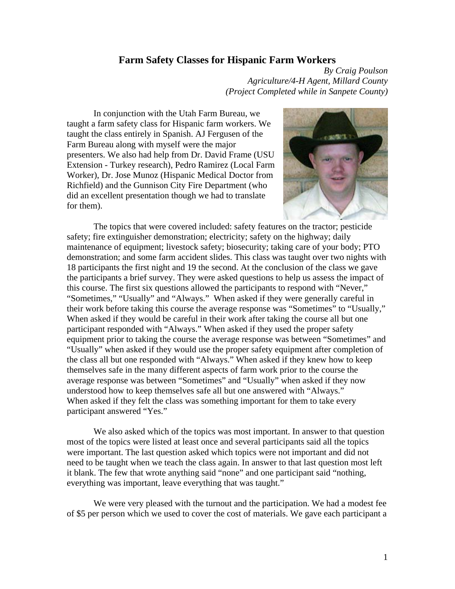## **Farm Safety Classes for Hispanic Farm Workers**

*By Craig Poulson Agriculture/4-H Agent, Millard County (Project Completed while in Sanpete County)* 

In conjunction with the Utah Farm Bureau, we taught a farm safety class for Hispanic farm workers. We taught the class entirely in Spanish. AJ Fergusen of the Farm Bureau along with myself were the major presenters. We also had help from Dr. David Frame (USU Extension - Turkey research), Pedro Ramirez (Local Farm Worker), Dr. Jose Munoz (Hispanic Medical Doctor from Richfield) and the Gunnison City Fire Department (who did an excellent presentation though we had to translate for them).



The topics that were covered included: safety features on the tractor; pesticide safety; fire extinguisher demonstration; electricity; safety on the highway; daily maintenance of equipment; livestock safety; biosecurity; taking care of your body; PTO demonstration; and some farm accident slides. This class was taught over two nights with 18 participants the first night and 19 the second. At the conclusion of the class we gave the participants a brief survey. They were asked questions to help us assess the impact of this course. The first six questions allowed the participants to respond with "Never," "Sometimes," "Usually" and "Always." When asked if they were generally careful in their work before taking this course the average response was "Sometimes" to "Usually," When asked if they would be careful in their work after taking the course all but one participant responded with "Always." When asked if they used the proper safety equipment prior to taking the course the average response was between "Sometimes" and "Usually" when asked if they would use the proper safety equipment after completion of the class all but one responded with "Always." When asked if they knew how to keep themselves safe in the many different aspects of farm work prior to the course the average response was between "Sometimes" and "Usually" when asked if they now understood how to keep themselves safe all but one answered with "Always." When asked if they felt the class was something important for them to take every participant answered "Yes."

We also asked which of the topics was most important. In answer to that question most of the topics were listed at least once and several participants said all the topics were important. The last question asked which topics were not important and did not need to be taught when we teach the class again. In answer to that last question most left it blank. The few that wrote anything said "none" and one participant said "nothing, everything was important, leave everything that was taught."

We were very pleased with the turnout and the participation. We had a modest fee of \$5 per person which we used to cover the cost of materials. We gave each participant a